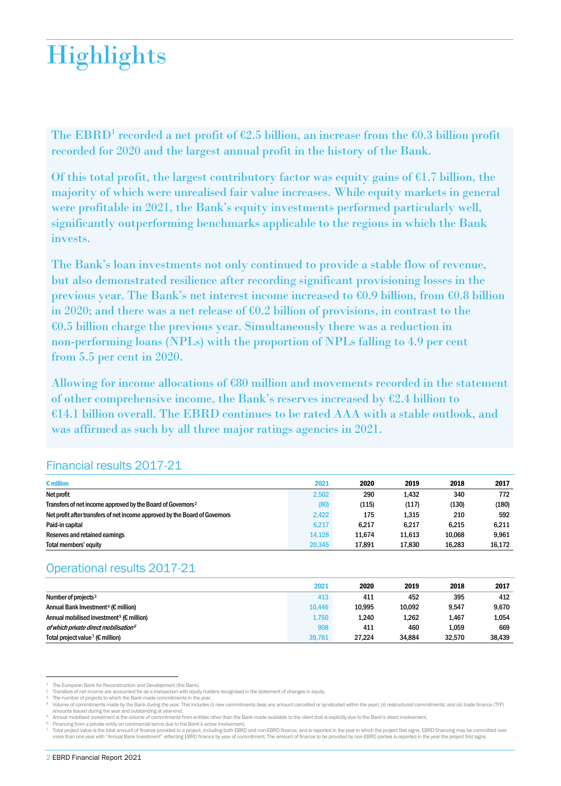# **Highlights**

The EBRD<sup>[1](#page-0-0)</sup> recorded a net profit of  $\epsilon$ 2.5 billion, an increase from the  $\epsilon$ 0.3 billion profit recorded for 2020 and the largest annual profit in the history of the Bank.

Of this total profit, the largest contributory factor was equity gains of  $\epsilon$ 1.7 billion, the majority of which were unrealised fair value increases. While equity markets in general were profitable in 2021, the Bank's equity investments performed particularly well, significantly outperforming benchmarks applicable to the regions in which the Bank invests.

The Bank's loan investments not only continued to provide a stable flow of revenue, but also demonstrated resilience after recording significant provisioning losses in the previous year. The Bank's net interest income increased to €0.9 billion, from €0.8 billion in 2020; and there was a net release of  $\epsilon$ 0.2 billion of provisions, in contrast to the  $\epsilon$ 0.5 billion charge the previous year. Simultaneously there was a reduction in non-performing loans (NPLs) with the proportion of NPLs falling to 4.9 per cent from 5.5 per cent in 2020.

Allowing for income allocations of €80 million and movements recorded in the statement of other comprehensive income, the Bank's reserves increased by  $\epsilon$ 2.4 billion to €14.1 billion overall. The EBRD continues to be rated AAA with a stable outlook, and was affirmed as such by all three major ratings agencies in 2021.

## Financial results 2017-21

| $\epsilon$ million                                                          | 2021   | 2020   | 2019   | 2018   | 2017   |
|-----------------------------------------------------------------------------|--------|--------|--------|--------|--------|
| Net profit                                                                  | 2,502  | 290    | 1.432  | 340    | 772    |
| Transfers of net income approved by the Board of Governors <sup>2</sup>     | (80)   | (115)  | (117)  | (130)  | (180)  |
| Net profit after transfers of net income approved by the Board of Governors | 2.422  | 175    | 1.315  | 210    | 592    |
| Paid-in capital                                                             | 6.217  | 6.217  | 6.217  | 6.215  | 6.211  |
| Reserves and retained earnings                                              | 14.128 | 11.674 | 11.613 | 10.068 | 9.961  |
| Total members' equity                                                       | 20,345 | 17.891 | 17,830 | 16.283 | 16,172 |

# Operational results 2017-21

|                                                                | 2021   | 2020   | 2019   | 2018   | 2017   |
|----------------------------------------------------------------|--------|--------|--------|--------|--------|
| Number of projects $3$                                         | 413    | 411    | 452    | 395    | 412    |
| Annual Bank Investment <sup>4</sup> ( $\epsilon$ million)      | 10.446 | 10.995 | 10,092 | 9,547  | 9,670  |
| Annual mobilised investment <sup>5</sup> ( $\epsilon$ million) | 1.750  | 1.240  | 1,262  | 1.467  | 1,054  |
| of which private direct mobilisation <sup>6</sup>              | 908    | 411    | 460    | 1.059  | 669    |
| Total project value <sup>7</sup> ( $\epsilon$ million)         | 39,781 | 27.224 | 34.884 | 32.570 | 38,439 |

The European Bank for Reconstruction and Development (the Bank).

j

<span id="page-0-0"></span><sup>2</sup> Transfers of net income are accounted for as a transaction with equity holders recognised in the statement of changes in equity.

<span id="page-0-1"></span>

<sup>&</sup>lt;sup>3</sup> The number of projects to which the Bank made commitments in the year.<br><sup>4</sup> Volume of commitments made by the Bank during the year. This includes (i) new commitments (less any amount cancelled or syndicated within the y amounts issued during the year and outstanding at year-end.

<sup>5</sup> Annual mobilised investment is the volume of commitments from entities other than the Bank made available to the client that is explicitly due to the Bank's direct involvement.

<span id="page-0-6"></span><span id="page-0-5"></span><span id="page-0-4"></span><span id="page-0-3"></span><span id="page-0-2"></span><sup>6</sup> Financing from a private entity on commercial terms due to the Bank's active involvement.

Total project value is the total amount of finance provided to a project, including both EBRD and non-EBRD finance, and is reported in the year in which the project first signs. EBRD financing may be committed over more than one year with "Annual Bank Investment" reflecting EBRD finance by year of commitment. The amount of finance to be provided by non-EBRD parties is reported in the year the project first signs.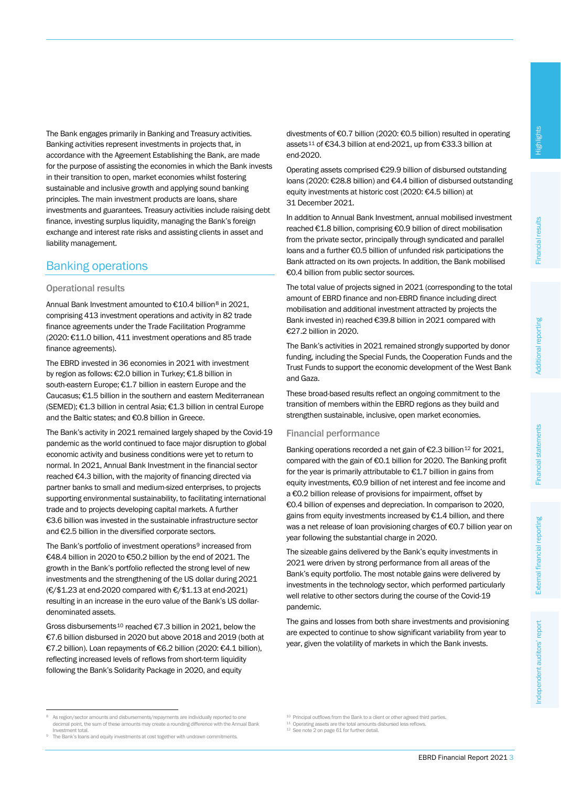The Bank engages primarily in Banking and Treasury activities. Banking activities represent investments in projects that, in accordance with the Agreement Establishing the Bank, are made for the purpose of assisting the economies in which the Bank invests in their transition to open, market economies whilst fostering sustainable and inclusive growth and applying sound banking principles. The main investment products are loans, share investments and guarantees. Treasury activities include raising debt finance, investing surplus liquidity, managing the Bank's foreign exchange and interest rate risks and assisting clients in asset and liability management.

## Banking operations

#### Operational results

Annual Bank Investment amounted to €10.4 billion[8](#page-1-0) in 2021, comprising 413 investment operations and activity in 82 trade finance agreements under the Trade Facilitation Programme (2020: €11.0 billion, 411 investment operations and 85 trade finance agreements).

The EBRD invested in 36 economies in 2021 with investment by region as follows: €2.0 billion in Turkey; €1.8 billion in south-eastern Europe; €1.7 billion in eastern Europe and the Caucasus; €1.5 billion in the southern and eastern Mediterranean (SEMED); €1.3 billion in central Asia; €1.3 billion in central Europe and the Baltic states; and €0.8 billion in Greece.

The Bank's activity in 2021 remained largely shaped by the Covid-19 pandemic as the world continued to face major disruption to global economic activity and business conditions were yet to return to normal. In 2021, Annual Bank Investment in the financial sector reached €4.3 billion, with the majority of financing directed via partner banks to small and medium-sized enterprises, to projects supporting environmental sustainability, to facilitating international trade and to projects developing capital markets. A further €3.6 billion was invested in the sustainable infrastructure sector and €2.5 billion in the diversified corporate sectors.

The Bank's portfolio of investment operations<sup>9</sup> increased from €48.4 billion in 2020 to €50.2 billion by the end of 2021. The growth in the Bank's portfolio reflected the strong level of new investments and the strengthening of the US dollar during 2021 (€/\$1.23 at end-2020 compared with €/\$1.13 at end-2021) resulting in an increase in the euro value of the Bank's US dollardenominated assets.

Gross disbursements[10](#page-1-0) reached €7.3 billion in 2021, below the €7.6 billion disbursed in 2020 but above 2018 and 2019 (both at €7.2 billion). Loan repayments of €6.2 billion (2020: €4.1 billion), reflecting increased levels of reflows from short-term liquidity following the Bank's Solidarity Package in 2020, and equity

divestments of €0.7 billion (2020: €0.5 billion) resulted in operating assets[11](#page-1-2) of €34.3 billion at end-2021, up from €33.3 billion at end-2020.

Operating assets comprised €29.9 billion of disbursed outstanding loans (2020: €28.8 billion) and €4.4 billion of disbursed outstanding equity investments at historic cost (2020: €4.5 billion) at 31 December 2021.

In addition to Annual Bank Investment, annual mobilised investment reached €1.8 billion, comprising €0.9 billion of direct mobilisation from the private sector, principally through syndicated and parallel loans and a further €0.5 billion of unfunded risk participations the Bank attracted on its own projects. In addition, the Bank mobilised €0.4 billion from public sector sources.

The total value of projects signed in 2021 (corresponding to the total amount of EBRD finance and non-EBRD finance including direct mobilisation and additional investment attracted by projects the Bank invested in) reached €39.8 billion in 2021 compared with €27.2 billion in 2020.

The Bank's activities in 2021 remained strongly supported by donor funding, including the Special Funds, the Cooperation Funds and the Trust Funds to support the economic development of the West Bank and Gaza.

These broad-based results reflect an ongoing commitment to the transition of members within the EBRD regions as they build and strengthen sustainable, inclusive, open market economies.

#### Financial performance

Banking operations recorded a net gain of €2.3 billion<sup>[12](#page-1-3)</sup> for 2021, compared with the gain of €0.1 billion for 2020. The Banking profit for the year is primarily attributable to €1.7 billion in gains from equity investments, €0.9 billion of net interest and fee income and a €0.2 billion release of provisions for impairment, offset by €0.4 billion of expenses and depreciation. In comparison to 2020, gains from equity investments increased by €1.4 billion, and there was a net release of loan provisioning charges of €0.7 billion year on year following the substantial charge in 2020.

The sizeable gains delivered by the Bank's equity investments in 2021 were driven by strong performance from all areas of the Bank's equity portfolio. The most notable gains were delivered by investments in the technology sector, which performed particularly well relative to other sectors during the course of the Covid-19 pandemic.

The gains and losses from both share investments and provisioning are expected to continue to show significant variability from year to year, given the volatility of markets in which the Bank invests.

j

<span id="page-1-0"></span>As region/sector amounts and disbursements/repayments are individually reported to one decimal point, the sum of these amounts may create a rounding difference with the Annual Bank Investment total.

<span id="page-1-3"></span><span id="page-1-2"></span><span id="page-1-1"></span><sup>&</sup>lt;sup>9</sup> The Bank's loans and equity investments at cost together with undrawn commitments

 $10$  Principal outflows from the Bank to a client or other agreed third parties.<br> $11$  Operating assets are the total amounts disbursed less reflows.

<sup>&</sup>lt;sup>12</sup> See note 2 on page 61 for further detail